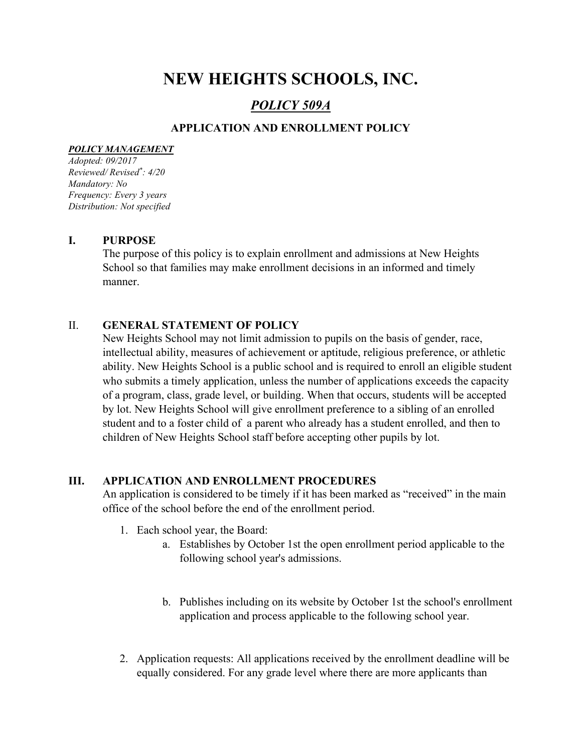# NEW HEIGHTS SCHOOLS, INC.

# POLICY 509A

# APPLICATION AND ENROLLMENT POLICY

#### POLICY MANAGEMENT

Adopted: 09/2017 Reviewed/ Revised\* : 4/20 Mandatory: No Frequency: Every 3 years Distribution: Not specified

#### I. PURPOSE

The purpose of this policy is to explain enrollment and admissions at New Heights School so that families may make enrollment decisions in an informed and timely manner.

## II. GENERAL STATEMENT OF POLICY

New Heights School may not limit admission to pupils on the basis of gender, race, intellectual ability, measures of achievement or aptitude, religious preference, or athletic ability. New Heights School is a public school and is required to enroll an eligible student who submits a timely application, unless the number of applications exceeds the capacity of a program, class, grade level, or building. When that occurs, students will be accepted by lot. New Heights School will give enrollment preference to a sibling of an enrolled student and to a foster child of a parent who already has a student enrolled, and then to children of New Heights School staff before accepting other pupils by lot.

### III. APPLICATION AND ENROLLMENT PROCEDURES

An application is considered to be timely if it has been marked as "received" in the main office of the school before the end of the enrollment period.

- 1. Each school year, the Board:
	- a. Establishes by October 1st the open enrollment period applicable to the following school year's admissions.
	- b. Publishes including on its website by October 1st the school's enrollment application and process applicable to the following school year.
- 2. Application requests: All applications received by the enrollment deadline will be equally considered. For any grade level where there are more applicants than